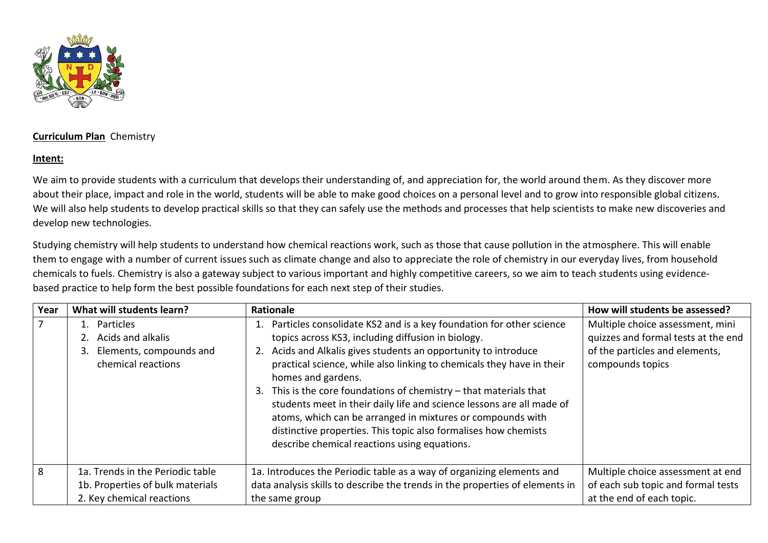

## **Curriculum Plan** Chemistry

## **Intent:**

We aim to provide students with a curriculum that develops their understanding of, and appreciation for, the world around them. As they discover more about their place, impact and role in the world, students will be able to make good choices on a personal level and to grow into responsible global citizens. We will also help students to develop practical skills so that they can safely use the methods and processes that help scientists to make new discoveries and develop new technologies.

Studying chemistry will help students to understand how chemical reactions work, such as those that cause pollution in the atmosphere. This will enable them to engage with a number of current issues such as climate change and also to appreciate the role of chemistry in our everyday lives, from household chemicals to fuels. Chemistry is also a gateway subject to various important and highly competitive careers, so we aim to teach students using evidencebased practice to help form the best possible foundations for each next step of their studies.

| Year | What will students learn?                                                                         | Rationale                                                                                                                                                                                                                                                                                                                                                                                                                                                                                                                                                                                                                        | How will students be assessed?                                                                                                |
|------|---------------------------------------------------------------------------------------------------|----------------------------------------------------------------------------------------------------------------------------------------------------------------------------------------------------------------------------------------------------------------------------------------------------------------------------------------------------------------------------------------------------------------------------------------------------------------------------------------------------------------------------------------------------------------------------------------------------------------------------------|-------------------------------------------------------------------------------------------------------------------------------|
| 7    | 1. Particles<br>Acids and alkalis<br>Elements, compounds and<br>3.<br>chemical reactions          | Particles consolidate KS2 and is a key foundation for other science<br>topics across KS3, including diffusion in biology.<br>Acids and Alkalis gives students an opportunity to introduce<br>2.<br>practical science, while also linking to chemicals they have in their<br>homes and gardens.<br>3. This is the core foundations of chemistry $-$ that materials that<br>students meet in their daily life and science lessons are all made of<br>atoms, which can be arranged in mixtures or compounds with<br>distinctive properties. This topic also formalises how chemists<br>describe chemical reactions using equations. | Multiple choice assessment, mini<br>quizzes and formal tests at the end<br>of the particles and elements,<br>compounds topics |
| 8    | 1a. Trends in the Periodic table<br>1b. Properties of bulk materials<br>2. Key chemical reactions | 1a. Introduces the Periodic table as a way of organizing elements and<br>data analysis skills to describe the trends in the properties of elements in<br>the same group                                                                                                                                                                                                                                                                                                                                                                                                                                                          | Multiple choice assessment at end<br>of each sub topic and formal tests<br>at the end of each topic.                          |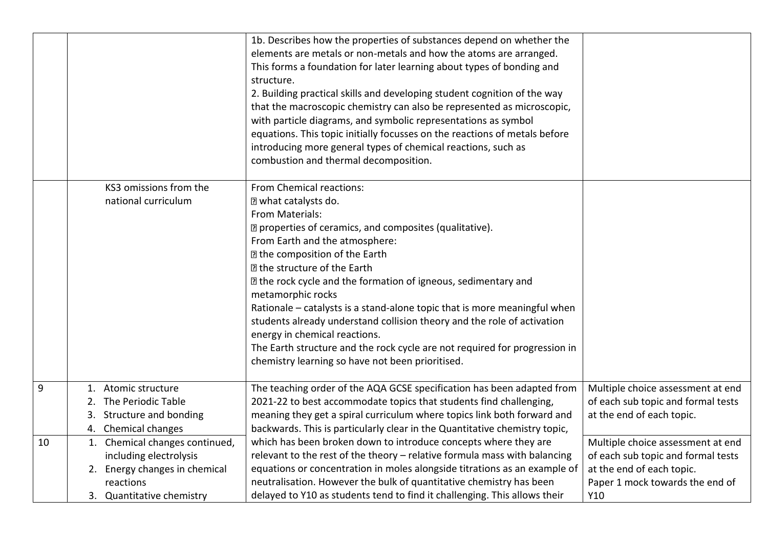|    |                                                                                                                                     | 1b. Describes how the properties of substances depend on whether the<br>elements are metals or non-metals and how the atoms are arranged.<br>This forms a foundation for later learning about types of bonding and<br>structure.<br>2. Building practical skills and developing student cognition of the way<br>that the macroscopic chemistry can also be represented as microscopic,<br>with particle diagrams, and symbolic representations as symbol<br>equations. This topic initially focusses on the reactions of metals before<br>introducing more general types of chemical reactions, such as<br>combustion and thermal decomposition.             |                                                                                                                                                |
|----|-------------------------------------------------------------------------------------------------------------------------------------|--------------------------------------------------------------------------------------------------------------------------------------------------------------------------------------------------------------------------------------------------------------------------------------------------------------------------------------------------------------------------------------------------------------------------------------------------------------------------------------------------------------------------------------------------------------------------------------------------------------------------------------------------------------|------------------------------------------------------------------------------------------------------------------------------------------------|
|    | KS3 omissions from the<br>national curriculum                                                                                       | From Chemical reactions:<br>I what catalysts do.<br>From Materials:<br>7 properties of ceramics, and composites (qualitative).<br>From Earth and the atmosphere:<br><b>In the composition of the Earth</b><br>I the structure of the Earth<br>I the rock cycle and the formation of igneous, sedimentary and<br>metamorphic rocks<br>Rationale - catalysts is a stand-alone topic that is more meaningful when<br>students already understand collision theory and the role of activation<br>energy in chemical reactions.<br>The Earth structure and the rock cycle are not required for progression in<br>chemistry learning so have not been prioritised. |                                                                                                                                                |
| 9  | 1. Atomic structure<br>2. The Periodic Table<br>Structure and bonding<br>3.<br>4. Chemical changes                                  | The teaching order of the AQA GCSE specification has been adapted from<br>2021-22 to best accommodate topics that students find challenging,<br>meaning they get a spiral curriculum where topics link both forward and<br>backwards. This is particularly clear in the Quantitative chemistry topic,                                                                                                                                                                                                                                                                                                                                                        | Multiple choice assessment at end<br>of each sub topic and formal tests<br>at the end of each topic.                                           |
| 10 | 1. Chemical changes continued,<br>including electrolysis<br>2. Energy changes in chemical<br>reactions<br>3. Quantitative chemistry | which has been broken down to introduce concepts where they are<br>relevant to the rest of the theory - relative formula mass with balancing<br>equations or concentration in moles alongside titrations as an example of<br>neutralisation. However the bulk of quantitative chemistry has been<br>delayed to Y10 as students tend to find it challenging. This allows their                                                                                                                                                                                                                                                                                | Multiple choice assessment at end<br>of each sub topic and formal tests<br>at the end of each topic.<br>Paper 1 mock towards the end of<br>Y10 |